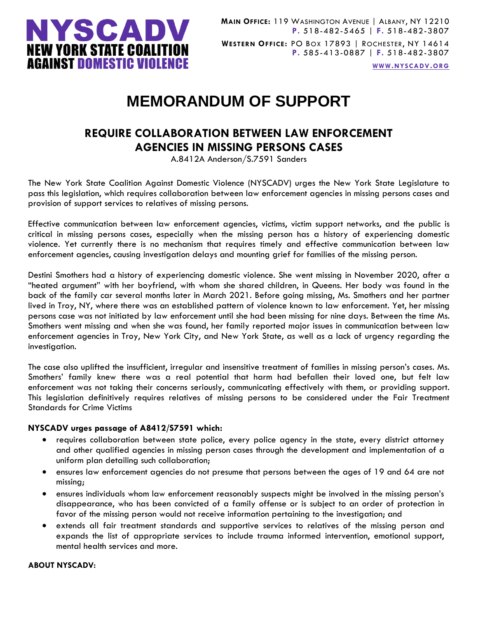

**WWW.[NYSCADV](file://///server/data/Official%20Documents/NYSCADV%20Logo%20&%20Branding/2015%20Letterhead/www.nyscadv.org).ORG**

# **MEMORANDUM OF SUPPORT**

# **REQUIRE COLLABORATION BETWEEN LAW ENFORCEMENT AGENCIES IN MISSING PERSONS CASES**

A.8412A Anderson/S.7591 Sanders

The New York State Coalition Against Domestic Violence (NYSCADV) urges the New York State Legislature to pass this legislation, which requires collaboration between law enforcement agencies in missing persons cases and provision of support services to relatives of missing persons.

Effective communication between law enforcement agencies, victims, victim support networks, and the public is critical in missing persons cases, especially when the missing person has a history of experiencing domestic violence. Yet currently there is no mechanism that requires timely and effective communication between law enforcement agencies, causing investigation delays and mounting grief for families of the missing person.

Destini Smothers had a history of experiencing domestic violence. She went missing in November 2020, after a "heated argument" with her boyfriend, with whom she shared children, in Queens. Her body was found in the back of the family car several months later in March 2021. Before going missing, Ms. Smothers and her partner lived in Troy, NY, where there was an established pattern of violence known to law enforcement. Yet, her missing persons case was not initiated by law enforcement until she had been missing for nine days. Between the time Ms. Smothers went missing and when she was found, her family reported major issues in communication between law enforcement agencies in Troy, New York City, and New York State, as well as a lack of urgency regarding the investigation.

The case also uplifted the insufficient, irregular and insensitive treatment of families in missing person's cases. Ms. Smothers' family knew there was a real potential that harm had befallen their loved one, but felt law enforcement was not taking their concerns seriously, communicating effectively with them, or providing support. This legislation definitively requires relatives of missing persons to be considered under the Fair Treatment Standards for Crime Victims

## **NYSCADV urges passage of A8412/S7591 which:**

- requires collaboration between state police, every police agency in the state, every district attorney and other qualified agencies in missing person cases through the development and implementation of a uniform plan detailing such collaboration;
- ensures law enforcement agencies do not presume that persons between the ages of 19 and 64 are not missing;
- ensures individuals whom law enforcement reasonably suspects might be involved in the missing person's disappearance, who has been convicted of a family offense or is subject to an order of protection in favor of the missing person would not receive information pertaining to the investigation; and
- extends all fair treatment standards and supportive services to relatives of the missing person and expands the list of appropriate services to include trauma informed intervention, emotional support, mental health services and more.

#### **ABOUT NYSCADV:**